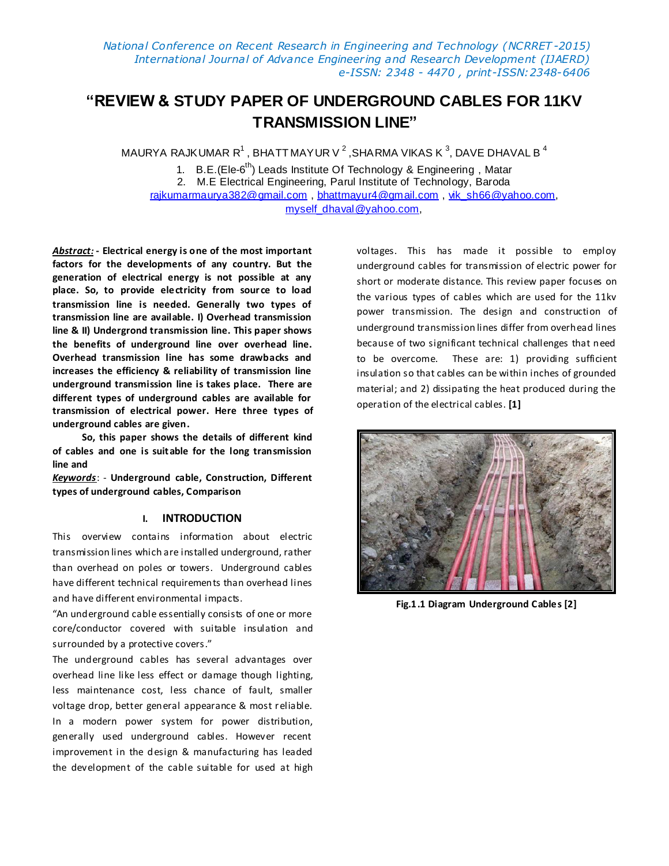# **"REVIEW & STUDY PAPER OF UNDERGROUND CABLES FOR 11KV TRANSMISSION LINE"**

MAURYA RAJKUMAR R $^1$ , BHATT MAYUR V  $^2$  ,SHARMA VIKAS K  $^3$ , DAVE DHAVAL B  $^4$ 

1. B.E.(Ele-6<sup>th</sup>) Leads Institute Of Technology & Engineering, Matar 2. M.E Electrical Engineering, Parul Institute of Technology, Baroda [rajkumarmaurya382@gmail.com](mailto:rajkumarmaurya382@gmail.com), [bhattmayur4@gmail.com](mailto:bhattmayur4@gmail.com)[, vik\\_sh66@yahoo.com,](mailto:vik_sh66@yahoo.com) [myself\\_dhaval@yahoo.com,](mailto:myself_dhaval@yahoo.com)

*Abstract:* **- Electrical energy is one of the most important factors for the developments of any country. But the generation of electrical energy is not possible at any place. So, to provide electricity from source to load transmission line is needed. Generally two types of transmission line are available. I) Overhead transmission line & II) Undergrond transmission line. This paper shows the benefits of underground line over overhead line. Overhead transmission line has some drawbacks and increases the efficiency & reliability of transmission line underground transmission line is takes place. There are different types of underground cables are available for transmission of electrical power. Here three types of underground cables are given.**

 **So, this paper shows the details of different kind of cables and one is suit able for the long transmission line and** 

*Keywords*: - **Underground cable, Construction, Different types of underground cables, Comparison**

### **I. INTRODUCTION**

This overview contains information about electric transmission lines which are installed underground, rather than overhead on poles or towers. Underground cables have different technical requirements than overhead lines and have different environmental impacts.

"An underground cable essentially consists of one or more core/conductor covered with suitable insulation and surrounded by a protective covers."

The underground cables has several advantages over overhead line like less effect or damage though lighting, less maintenance cost, less chance of fault, smaller voltage drop, better general appearance & most reliable. In a modern power system for power distribution, generally used underground cables. However recent improvement in the design & manufacturing has leaded the development of the cable suitable for used at high voltages. This has made it possible to employ underground cables for transmission of electric power for short or moderate distance. This review paper focuses on the various types of cables which are used for the 11kv power transmission. The design and construction of underground transmission lines differ from overhead lines because of two significant technical challenges that need to be overcome. These are: 1) providing sufficient insulation so that cables can be within inches of grounded material; and 2) dissipating the heat produced during the operation of the electrical cables. **[1]**



**Fig.1.1 Diagram Underground Cables [2]**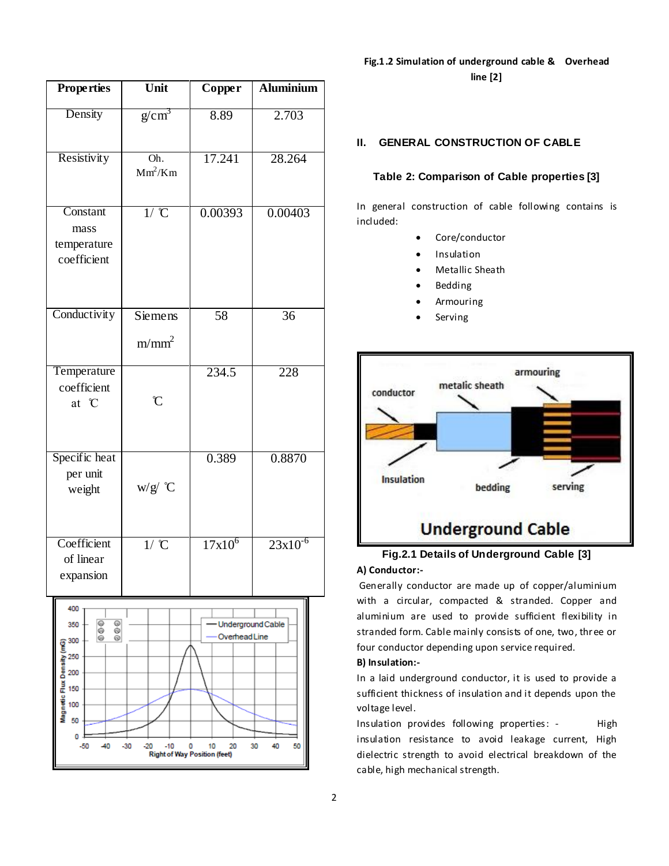| <b>Properties</b>                                                                       | Unit                         | Copper                             | <b>Aluminium</b> |  |
|-----------------------------------------------------------------------------------------|------------------------------|------------------------------------|------------------|--|
| Density                                                                                 | g/cm <sup>3</sup>            | 8.89                               | 2.703            |  |
| Resistivity                                                                             | Oh.<br>$Mm^2/Km$             | 17.241                             | 28.264           |  |
| Constant<br>mass<br>temperature<br>coefficient                                          | $1/$ $\mathbb{C}$            | 0.00393                            | 0.00403          |  |
| Conductivity                                                                            | Siemens<br>m/mm <sup>2</sup> | 58                                 | 36               |  |
| Temperature<br>coefficient<br>at °C                                                     | $\mathfrak{C}$               | 234.5                              | 228              |  |
| Specific heat<br>per unit<br>weight                                                     | w/g/ °C                      | 0.389                              | 0.8870           |  |
| Coefficient<br>of linear<br>expansion                                                   | $1/$ $\mathbb{C}$            | $17x10^6$                          | $23x10^{-6}$     |  |
| 400<br>⊜<br>⊚<br>350<br>@<br>⊚<br>◉<br>⊛<br>300<br>ux Density (mG)<br>250<br>200<br>150 |                              | Underground Cable<br>Overhead Line |                  |  |

Magnetic 100 50 o  $-50$ 

40  $-30$   $-10$  $\mathbf 0$ 

Right of Way Position (feet)

 $-20$ 

10 20 30 40 50

## **Fig.1.2 Simulation of underground cable & Overhead line [2]**

#### **II. GENERAL CONSTRUCTION OF CABLE**

#### **Table 2: Comparison of Cable properties [3]**

In general construction of cable following contains is included:

- Core/conductor
- Insulation
- Metallic Sheath
- Bedding
- Armouring
- Serving



# **Fig.2.1 Details of Underground Cable [3]**

**A) Conductor:-**

Generally conductor are made up of copper/aluminium with a circular, compacted & stranded. Copper and aluminium are used to provide sufficient flexibility in stranded form. Cable mainly consists of one, two, three or four conductor depending upon service required.

#### **B) Insulation:-**

In a laid underground conductor, it is used to provide a sufficient thickness of insulation and it depends upon the voltage level.

Insulation provides following properties: - High insulation resistance to avoid leakage current, High dielectric strength to avoid electrical breakdown of the cable, high mechanical strength.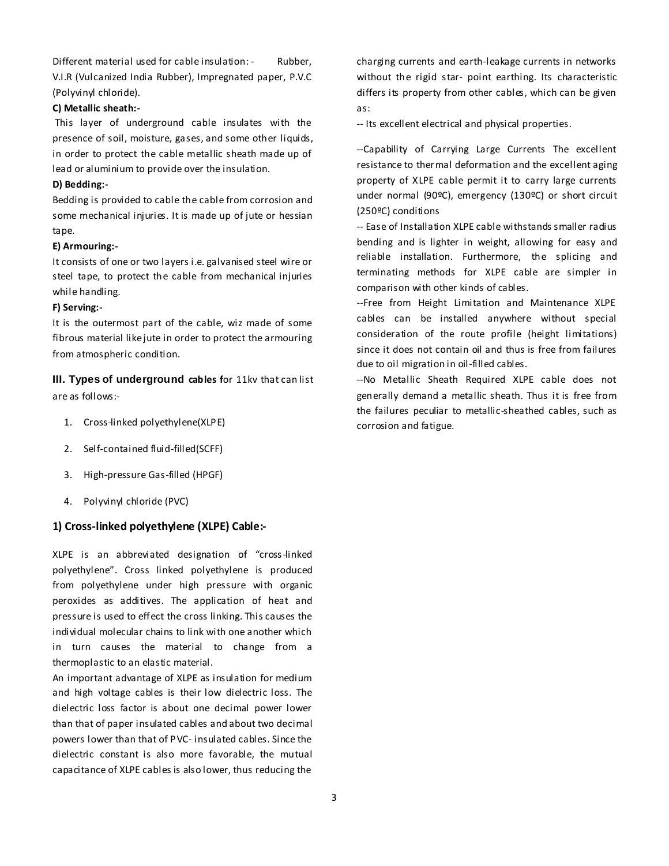Different material used for cable insulation: - Rubber, V.I.R (Vulcanized India Rubber), Impregnated paper, P.V.C (Polyvinyl chloride).

#### **C) Metallic sheath:-**

This layer of underground cable insulates with the presence of soil, moisture, gases, and some other liquids, in order to protect the cable metallic sheath made up of lead or aluminium to provide over the insulation.

#### **D) Bedding:-**

Bedding is provided to cable the cable from corrosion and some mechanical injuries. It is made up of jute or hessian tape.

#### **E) Armouring:-**

It consists of one or two layers i.e. galvanised steel wire or steel tape, to protect the cable from mechanical injuries while handling.

#### **F) Serving:-**

It is the outermost part of the cable, wiz made of some fibrous material like jute in order to protect the armouring from atmospheric condition.

**III. Types of underground cables for 11kv that can list** are as follows:-

- 1. Cross-linked polyethylene(XLPE)
- 2. Self-contained fluid-filled(SCFF)
- 3. High-pressure Gas-filled (HPGF)
- 4. Polyvinyl chloride (PVC)

#### **1) Cross-linked polyethylene (XLPE) Cable:-**

XLPE is an abbreviated designation of "cross-linked polyethylene". Cross linked polyethylene is produced from polyethylene under high pressure with organic peroxides as additives. The application of heat and pressure is used to effect the cross linking. This causes the individual molecular chains to link with one another which in turn causes the material to change from a thermoplastic to an elastic material.

An important advantage of XLPE as insulation for medium and high voltage cables is their low dielectric loss. The dielectric loss factor is about one decimal power lower than that of paper insulated cables and about two decimal powers lower than that of PVC- insulated cables. Since the dielectric constant is also more favorable, the mutual capacitance of XLPE cables is also lower, thus reducing the

charging currents and earth-leakage currents in networks without the rigid star- point earthing. Its characteristic differs its property from other cables, which can be given as:

-- Its excellent electrical and physical properties.

--Capability of Carrying Large Currents The excellent resistance to thermal deformation and the excellent aging property of XLPE cable permit it to carry large currents under normal (90ºC), emergency (130ºC) or short circuit (250ºC) conditions

-- Ease of Installation XLPE cable withstands smaller radius bending and is lighter in weight, allowing for easy and reliable installation. Furthermore, the splicing and terminating methods for XLPE cable are simpler in comparison with other kinds of cables.

--Free from Height Limitation and Maintenance XLPE cables can be installed anywhere without special consideration of the route profile (height limitations) since it does not contain oil and thus is free from failures due to oil migration in oil-filled cables.

--No Metallic Sheath Required XLPE cable does not generally demand a metallic sheath. Thus it is free from the failures peculiar to metallic-sheathed cables, such as corrosion and fatigue.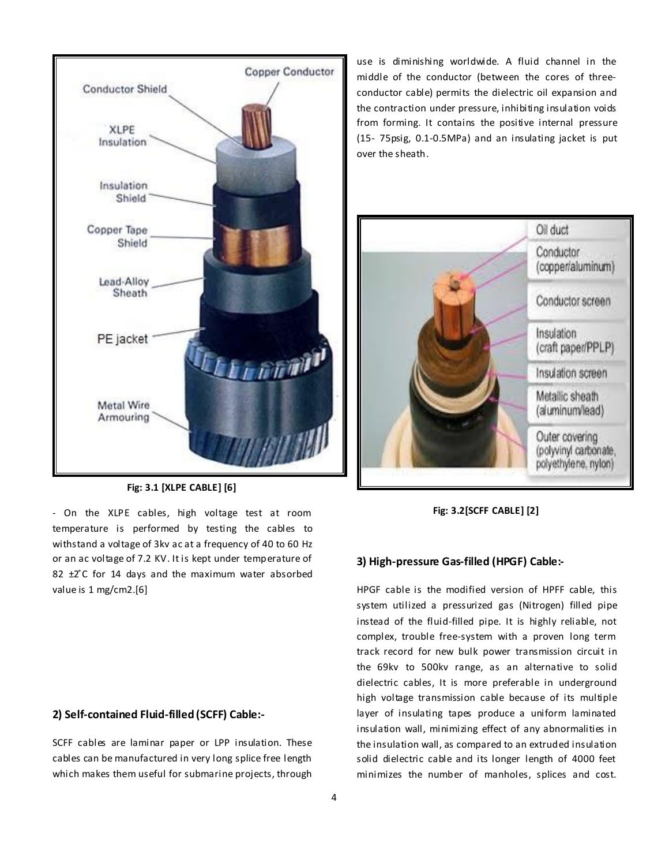

**Fig: 3.1 [XLPE CABLE] [6]**

- On the XLPE cables, high voltage test at room temperature is performed by testing the cables to withstand a voltage of 3kv ac at a frequency of 40 to 60 Hz or an ac voltage of 7.2 KV. It is kept under temperature of 82  $\pm 2^{\circ}$ C for 14 days and the maximum water absorbed value is 1 mg/cm2.[6]

#### **2) Self-contained Fluid-filled (SCFF) Cable:-**

SCFF cables are laminar paper or LPP insulation. These cables can be manufactured in very long splice free length which makes them useful for submarine projects, through

use is diminishing worldwide. A fluid channel in the middle of the conductor (between the cores of threeconductor cable) permits the dielectric oil expansion and the contraction under pressure, inhibiting insulation voids from forming. It contains the positive internal pressure (15- 75psig, 0.1-0.5MPa) and an insulating jacket is put over the sheath.



**Fig: 3.2[SCFF CABLE] [2]**

#### **3) High-pressure Gas-filled (HPGF) Cable:-**

HPGF cable is the modified version of HPFF cable, this system utilized a pressurized gas (Nitrogen) filled pipe instead of the fluid-filled pipe. It is highly reliable, not complex, trouble free-system with a proven long term track record for new bulk power transmission circuit in the 69kv to 500kv range, as an alternative to solid dielectric cables, It is more preferable in underground high voltage transmission cable because of its multiple layer of insulating tapes produce a uniform laminated insulation wall, minimizing effect of any abnormalities in the insulation wall, as compared to an extruded insulation solid dielectric cable and its longer length of 4000 feet minimizes the number of manholes, splices and cost.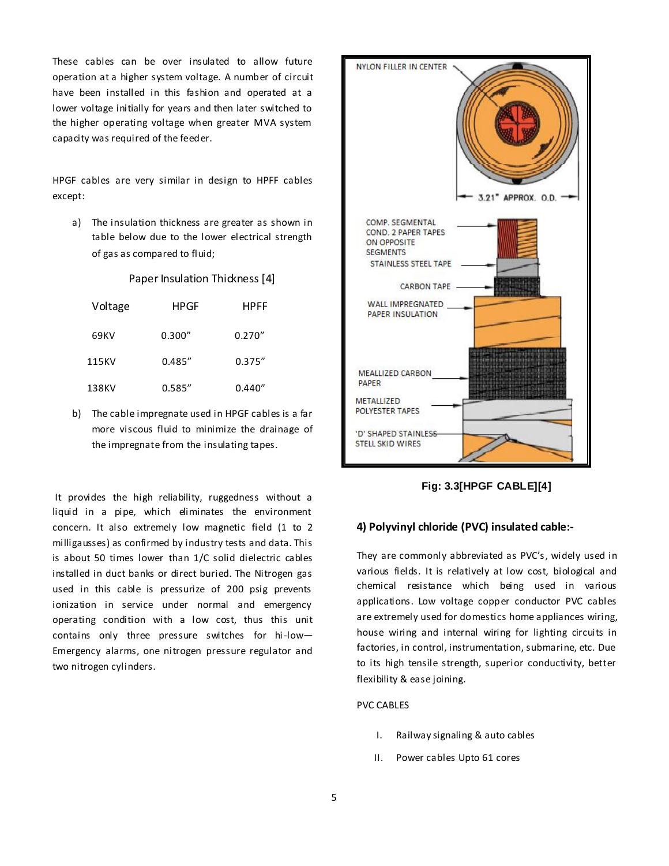These cables can be over insulated to allow future operation at a higher system voltage. A number of circuit have been installed in this fashion and operated at a lower voltage initially for years and then later switched to the higher operating voltage when greater MVA system capacity was required of the feeder.

HPGF cables are very similar in design to HPFF cables except:

a) The insulation thickness are greater as shown in table below due to the lower electrical strength of gas as compared to fluid;

Paper Insulation Thickness [4]

| Voltage | HPGF    | <b>HPFF</b> |
|---------|---------|-------------|
| 69KV    | 0.300'' | 0.270''     |
| 115KV   | 0.485'' | 0.375''     |
| 138KV   | 0.585'' | 0.440''     |

b) The cable impregnate used in HPGF cables is a far more viscous fluid to minimize the drainage of the impregnate from the insulating tapes.

It provides the high reliability, ruggedness without a liquid in a pipe, which eliminates the environment concern. It also extremely low magnetic field (1 to 2 milligausses) as confirmed by industry tests and data. This is about 50 times lower than 1/C solid dielectric cables installed in duct banks or direct buried. The Nitrogen gas used in this cable is pressurize of 200 psig prevents ionization in service under normal and emergency operating condition with a low cost, thus this unit contains only three pressure switches for hi-low— Emergency alarms, one nitrogen pressure regulator and two nitrogen cylinders.



**Fig: 3.3[HPGF CABLE][4]**

#### **4) Polyvinyl chloride (PVC) insulated cable:-**

They are commonly abbreviated as PVC's, widely used in various fields. It is relatively at low cost, biological and chemical resistance which being used in various applications. Low voltage copper conductor PVC cables are extremely used for domestics home appliances wiring, house wiring and internal wiring for lighting circuits in factories, in control, instrumentation, submarine, etc. Due to its high tensile strength, superior conductivity, better flexibility & ease joining.

### PVC CABLES

- I. Railway signaling & auto cables
- II. Power cables Upto 61 cores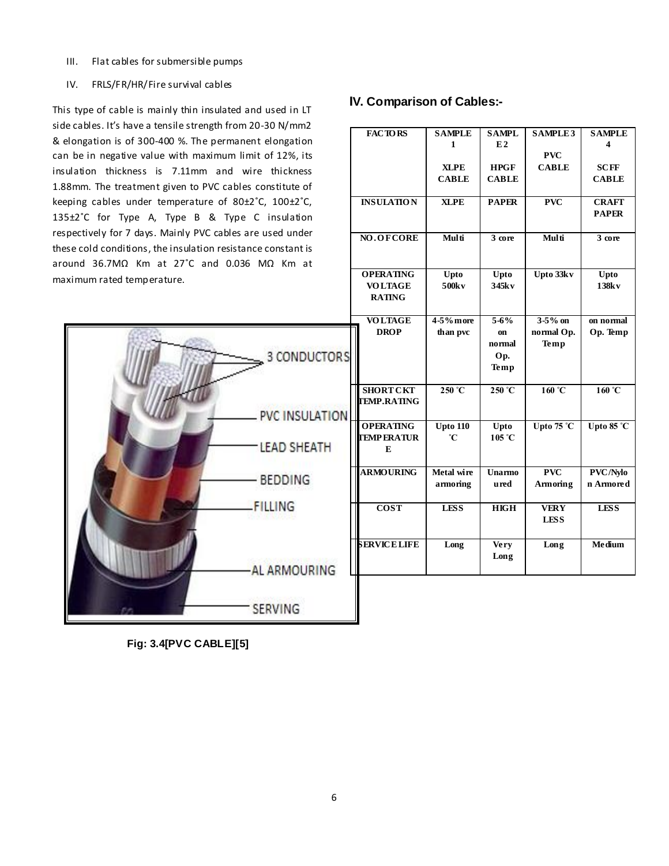III. Flat cables for submersible pumps

#### IV. FRLS/FR/HR/Fire survival cables

This type of cable is mainly thin insulated and used in LT side cables. It's have a tensile strength from 20-30 N/mm2 & elongation is of 300-400 %. The permanent elongation can be in negative value with maximum limit of 12%, its insulation thickness is 7.11mm and wire thickness 1.88mm. The treatment given to PVC cables constitute of keeping cables under temperature of 80±2˚C, 100±2˚C, 135±2˚C for Type A, Type B & Type C insulation respectively for 7 days. Mainly PVC cables are used under these cold conditions, the insulation resistance constant is around 36.7MΩ Km at 27˚C and 0.036 MΩ Km at maximum rated temperature.



# **IV. Comparison of Cables:-**

|           | <b>FACTORS</b>      | <b>SAMPLE</b>   | <b>SAMPL</b>    | <b>SAMPLE3</b>      | <b>SAMPLE</b>       |
|-----------|---------------------|-----------------|-----------------|---------------------|---------------------|
|           |                     | 1               | E2              |                     | 4                   |
|           |                     |                 |                 | <b>PVC</b>          |                     |
|           |                     | <b>XLPE</b>     | <b>HPGF</b>     | <b>CABLE</b>        | <b>SCFF</b>         |
|           |                     | <b>CABLE</b>    | <b>CABLE</b>    |                     | <b>CABLE</b>        |
|           |                     |                 |                 |                     |                     |
|           | <b>INSULATION</b>   | <b>XLPE</b>     | <b>PAPER</b>    | <b>PVC</b>          | <b>CRAFT</b>        |
|           |                     |                 |                 |                     | <b>PAPER</b>        |
|           |                     |                 |                 |                     |                     |
|           | NO.OFCORE           | Multi           | 3 core          | Multi               | 3 core              |
|           |                     |                 |                 |                     |                     |
|           |                     |                 |                 |                     |                     |
|           | <b>OPERATING</b>    | Upto            | Upto            | Upto 33kv           | Upto                |
|           | <b>VOLTAGE</b>      | 500kv           | 345k v          |                     | 138kv               |
|           | <b>RATING</b>       |                 |                 |                     |                     |
|           |                     |                 |                 |                     |                     |
|           | <b>VOLTAGE</b>      | 4-5% more       | $5 - 6%$        | $3-5%$ on           | on normal           |
|           | <b>DROP</b>         | than pvc        | on              | normal Op.          | Op. Temp            |
|           |                     |                 | normal          | Temp                |                     |
| <b>RS</b> |                     |                 | Op.             |                     |                     |
|           |                     |                 | Temp            |                     |                     |
|           |                     |                 |                 |                     |                     |
|           | <b>SHORT CKT</b>    | $250^{\circ}$ C | $250^{\circ}$ C | 160 °C              | 160 °C              |
|           | <b>TEMP.RATING</b>  |                 |                 |                     |                     |
| ON        |                     |                 |                 |                     |                     |
|           | <b>OPERATING</b>    | <b>Upto 110</b> | Upto            | Upto $75^{\circ}$ C | Upto $85^{\circ}$ C |
|           | <b>TEMPERATUR</b>   | °C              | 105 °C          |                     |                     |
|           | E                   |                 |                 |                     |                     |
|           |                     |                 |                 |                     |                     |
|           | <b>ARMOURING</b>    | Metal wire      | Unarmo          | <b>PVC</b>          | PVC/Nylo            |
|           |                     | armoring        | <b>ured</b>     | Armoring            | n Armored           |
|           |                     |                 |                 |                     |                     |
|           | <b>COST</b>         | <b>LESS</b>     | <b>HIGH</b>     | <b>VERY</b>         | <b>LESS</b>         |
|           |                     |                 |                 | <b>LESS</b>         |                     |
|           |                     |                 |                 |                     |                     |
|           | <b>SERVICE LIFE</b> | Long            | Very            | Long                | Medium              |
|           |                     |                 | Long            |                     |                     |
|           |                     |                 |                 |                     |                     |

**Fig: 3.4[PVC CABLE][5]**